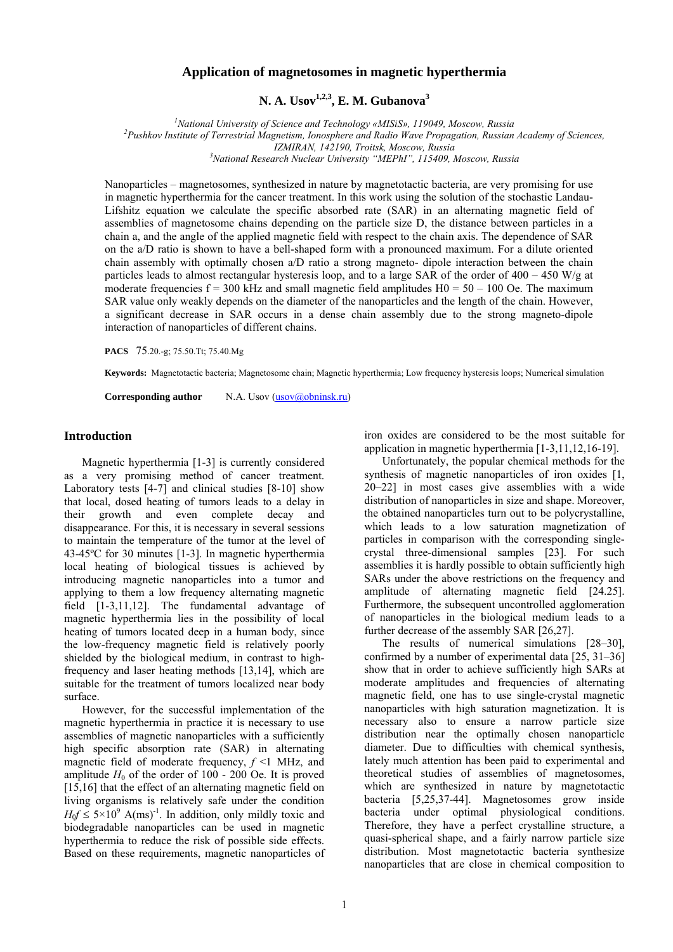## **Application of magnetosomes in magnetic hyperthermia**

**N. A. Usov1,2,3, E. M. Gubanova3**

<sup>1</sup> *National University of Science and Technology «MISiS», 119049, Moscow, Russia*<br><sup>2</sup> Buckley Institute of Tempetrial Magnetism, Jonesphere and Badie Waye Bronagation, Bussian

*Pushkov Institute of Terrestrial Magnetism, Ionosphere and Radio Wave Propagation, Russian Academy of Sciences, IZMIRAN, 142190, Troitsk, Moscow, Russia 3*

*National Research Nuclear University "MEPhI", 115409, Moscow, Russia* 

Nanoparticles – magnetosomes, synthesized in nature by magnetotactic bacteria, are very promising for use in magnetic hyperthermia for the cancer treatment. In this work using the solution of the stochastic Landau-Lifshitz equation we calculate the specific absorbed rate (SAR) in an alternating magnetic field of assemblies of magnetosome chains depending on the particle size D, the distance between particles in a chain a, and the angle of the applied magnetic field with respect to the chain axis. The dependence of SAR on the a/D ratio is shown to have a bell-shaped form with a pronounced maximum. For a dilute oriented chain assembly with optimally chosen a/D ratio a strong magneto- dipole interaction between the chain particles leads to almost rectangular hysteresis loop, and to a large SAR of the order of  $400 - 450$  W/g at moderate frequencies  $f = 300$  kHz and small magnetic field amplitudes  $H0 = 50 - 100$  Oe. The maximum SAR value only weakly depends on the diameter of the nanoparticles and the length of the chain. However, a significant decrease in SAR occurs in a dense chain assembly due to the strong magneto-dipole interaction of nanoparticles of different chains.

**PACS** 75.20.-g; 75.50.Tt; 75.40.Mg

**Keywords:** Magnetotactic bacteria; Magnetosome chain; Magnetic hyperthermia; Low frequency hysteresis loops; Numerical simulation

**Corresponding author** N.A. Usov ([usov@obninsk.ru](mailto:usov@obninsk.ru))

## **Introduction**

Magnetic hyperthermia [1-3] is currently considered as a very promising method of cancer treatment. Laboratory tests [4-7] and clinical studies [8-10] show that local, dosed heating of tumors leads to a delay in their growth and even complete decay and disappearance. For this, it is necessary in several sessions to maintain the temperature of the tumor at the level of 43-45ºС for 30 minutes [1-3]. In magnetic hyperthermia local heating of biological tissues is achieved by introducing magnetic nanoparticles into a tumor and applying to them a low frequency alternating magnetic field [1-3,11,12]. The fundamental advantage of magnetic hyperthermia lies in the possibility of local heating of tumors located deep in a human body, since the low-frequency magnetic field is relatively poorly shielded by the biological medium, in contrast to highfrequency and laser heating methods [13,14], which are suitable for the treatment of tumors localized near body surface.

 However, for the successful implementation of the magnetic hyperthermia in practice it is necessary to use assemblies of magnetic nanoparticles with a sufficiently high specific absorption rate (SAR) in alternating magnetic field of moderate frequency,  $f \leq 1$  MHz, and amplitude  $H_0$  of the order of 100 - 200 Oe. It is proved [15,16] that the effect of an alternating magnetic field on living organisms is relatively safe under the condition  $H_0 f \le 5 \times 10^9$  A(ms)<sup>-1</sup>. In addition, only mildly toxic and biodegradable nanoparticles can be used in magnetic hyperthermia to reduce the risk of possible side effects. Based on these requirements, magnetic nanoparticles of iron oxides are considered to be the most suitable for application in magnetic hyperthermia [1-3,11,12,16-19].

 Unfortunately, the popular chemical methods for the synthesis of magnetic nanoparticles of iron oxides [1, 20–22] in most cases give assemblies with a wide distribution of nanoparticles in size and shape. Moreover, the obtained nanoparticles turn out to be polycrystalline, which leads to a low saturation magnetization of particles in comparison with the corresponding singlecrystal three-dimensional samples [23]. For such assemblies it is hardly possible to obtain sufficiently high SARs under the above restrictions on the frequency and amplitude of alternating magnetic field [24.25]. Furthermore, the subsequent uncontrolled agglomeration of nanoparticles in the biological medium leads to a further decrease of the assembly SAR [26,27].

The results of numerical simulations [28–30], confirmed by a number of experimental data [25, 31–36] show that in order to achieve sufficiently high SARs at moderate amplitudes and frequencies of alternating magnetic field, one has to use single-crystal magnetic nanoparticles with high saturation magnetization. It is necessary also to ensure a narrow particle size distribution near the optimally chosen nanoparticle diameter. Due to difficulties with chemical synthesis, lately much attention has been paid to experimental and theoretical studies of assemblies of magnetosomes, which are synthesized in nature by magnetotactic bacteria [5,25,37-44]. Magnetosomes grow inside bacteria under optimal physiological conditions. Therefore, they have a perfect crystalline structure, a quasi-spherical shape, and a fairly narrow particle size distribution. Most magnetotactic bacteria synthesize nanoparticles that are close in chemical composition to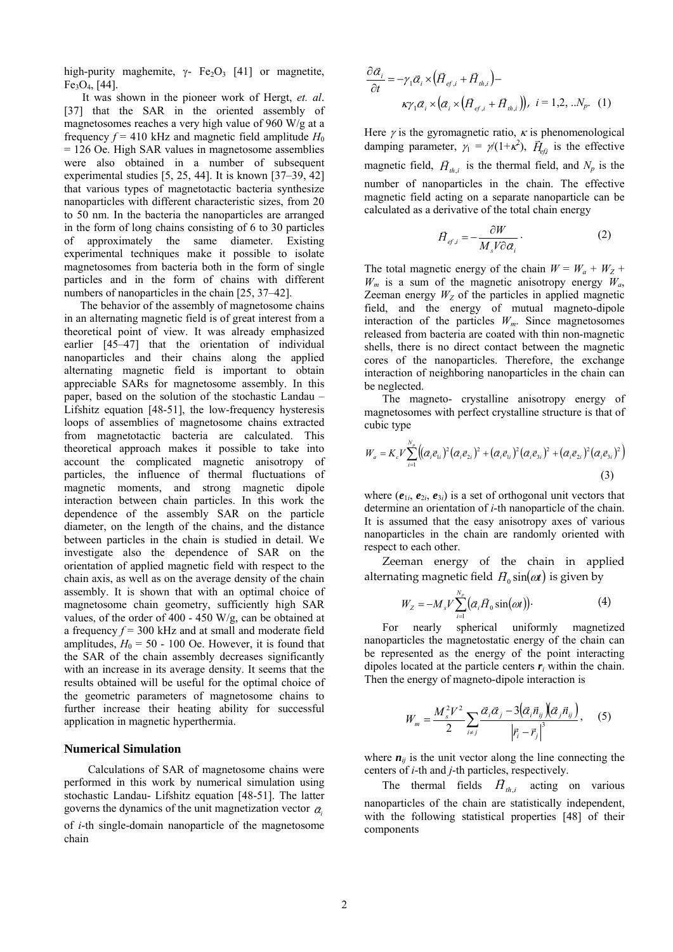high-purity maghemite, γ- Fe<sub>2</sub>O<sub>3</sub> [41] or magnetite,  $Fe<sub>3</sub>O<sub>4</sub>$ , [44].

It was shown in the pioneer work of Hergt, *et. al*. [37] that the SAR in the oriented assembly of magnetosomes reaches a very high value of 960 W/g at a frequency  $f = 410$  kHz and magnetic field amplitude  $H_0$  $= 126$  Oe. High SAR values in magnetosome assemblies were also obtained in a number of subsequent experimental studies [5, 25, 44]. It is known [37–39, 42] that various types of magnetotactic bacteria synthesize nanoparticles with different characteristic sizes, from 20 to 50 nm. In the bacteria the nanoparticles are arranged in the form of long chains consisting of 6 to 30 particles of approximately the same diameter. Existing experimental techniques make it possible to isolate magnetosomes from bacteria both in the form of single particles and in the form of chains with different numbers of nanoparticles in the chain [25, 37–42].

The behavior of the assembly of magnetosome chains in an alternating magnetic field is of great interest from a theoretical point of view. It was already emphasized earlier [45–47] that the orientation of individual nanoparticles and their chains along the applied alternating magnetic field is important to obtain appreciable SARs for magnetosome assembly. In this paper, based on the solution of the stochastic Landau – Lifshitz equation [48-51], the low-frequency hysteresis loops of assemblies of magnetosome chains extracted from magnetotactic bacteria are calculated. This theoretical approach makes it possible to take into account the complicated magnetic anisotropy of particles, the influence of thermal fluctuations of magnetic moments, and strong magnetic dipole interaction between chain particles. In this work the dependence of the assembly SAR on the particle diameter, on the length of the chains, and the distance between particles in the chain is studied in detail. We investigate also the dependence of SAR on the orientation of applied magnetic field with respect to the chain axis, as well as on the average density of the chain assembly. It is shown that with an optimal choice of magnetosome chain geometry, sufficiently high SAR values, of the order of 400 - 450 W/g, can be obtained at a frequency *f* = 300 kHz and at small and moderate field amplitudes,  $H_0 = 50 - 100$  Oe. However, it is found that the SAR of the chain assembly decreases significantly with an increase in its average density. It seems that the results obtained will be useful for the optimal choice of the geometric parameters of magnetosome chains to further increase their heating ability for successful application in magnetic hyperthermia.

## **Numerical Simulation**

Calculations of SAR of magnetosome chains were performed in this work by numerical simulation using stochastic Landau- Lifshitz equation [48-51]. The latter governs the dynamics of the unit magnetization vector  $\bar{\alpha}$ of  $i$ -th single-domain nanoparticle of the magnetosome chain

$$
\frac{\partial \alpha_i}{\partial t} = -\gamma_1 \alpha_i \times (H_{ef,i} + H_{th,i}) -
$$
  

$$
\kappa \gamma_1 \alpha_i \times (\alpha_i \times (H_{ef,i} + H_{th,i})), \quad i = 1, 2, \dots N_p. \quad (1)
$$

Here  $\gamma$  is the gyromagnetic ratio,  $\kappa$  is phenomenological damping parameter,  $\gamma_1 = \gamma(1+\kappa^2)$ ,  $\vec{H}_{e\beta}$  is the effective magnetic field,  $\vec{H}_{th,i}$  is the thermal field, and  $N_p$  is the number of nanoparticles in the chain. The effective magnetic field acting on a separate nanoparticle can be calculated as a derivative of the total chain energy

$$
\vec{H}_{ef,i} = -\frac{\partial W}{M_s V \partial \vec{\alpha}_i}.
$$
 (2)

The total magnetic energy of the chain  $W = W_a + W_z + W_{\bar{z}}$  $W_m$  is a sum of the magnetic anisotropy energy  $W_a$ , Zeeman energy  $W<sub>Z</sub>$  of the particles in applied magnetic field, and the energy of mutual magneto-dipole interaction of the particles *Wm*. Since magnetosomes released from bacteria are coated with thin non-magnetic shells, there is no direct contact between the magnetic cores of the nanoparticles. Therefore, the exchange interaction of neighboring nanoparticles in the chain can be neglected.

The magneto- crystalline anisotropy energy of magnetosomes with perfect crystalline structure is that of cubic type

$$
W_{a} = K_{c} V \sum_{i=1}^{N_{p}} \left( (\vec{\alpha}_{i} \vec{e}_{1i})^{2} (\vec{\alpha}_{i} \vec{e}_{2i})^{2} + (\vec{\alpha}_{i} \vec{e}_{1i})^{2} (\vec{\alpha}_{i} \vec{e}_{3i})^{2} + (\vec{\alpha}_{i} \vec{e}_{2i})^{2} (\vec{\alpha}_{i} \vec{e}_{3i})^{2} \right)
$$
\n(3)

where  $(e_{1i}, e_{2i}, e_{3i})$  is a set of orthogonal unit vectors that determine an orientation of *i*-th nanoparticle of the chain. It is assumed that the easy anisotropy axes of various nanoparticles in the chain are randomly oriented with respect to each other.

Zeeman energy of the chain in applied alternating magnetic field  $H_0 \sin(\omega t)$  is given by

$$
W_z = -M_s V \sum_{i=1}^{N_p} (\bar{\alpha}_i H_0 \sin(\omega t)). \tag{4}
$$

For nearly spherical uniformly magnetized nanoparticles the magnetostatic energy of the chain can be represented as the energy of the point interacting dipoles located at the particle centers *ri* within the chain. Then the energy of magneto-dipole interaction is

$$
W_m = \frac{M_s^2 V^2}{2} \sum_{i \neq j} \frac{\vec{\alpha}_i \vec{\alpha}_j - 3(\vec{\alpha}_i \vec{n}_{ij}) (\vec{\alpha}_j \vec{n}_{ij})}{\left| \vec{r}_i - \vec{r}_j \right|^3}, \quad (5)
$$

where  $n_{ij}$  is the unit vector along the line connecting the centers of *i*-th and *j*-th particles, respectively.

The thermal fields  $H_{h,i}$  acting on various nanoparticles of the chain are statistically independent, with the following statistical properties [48] of their components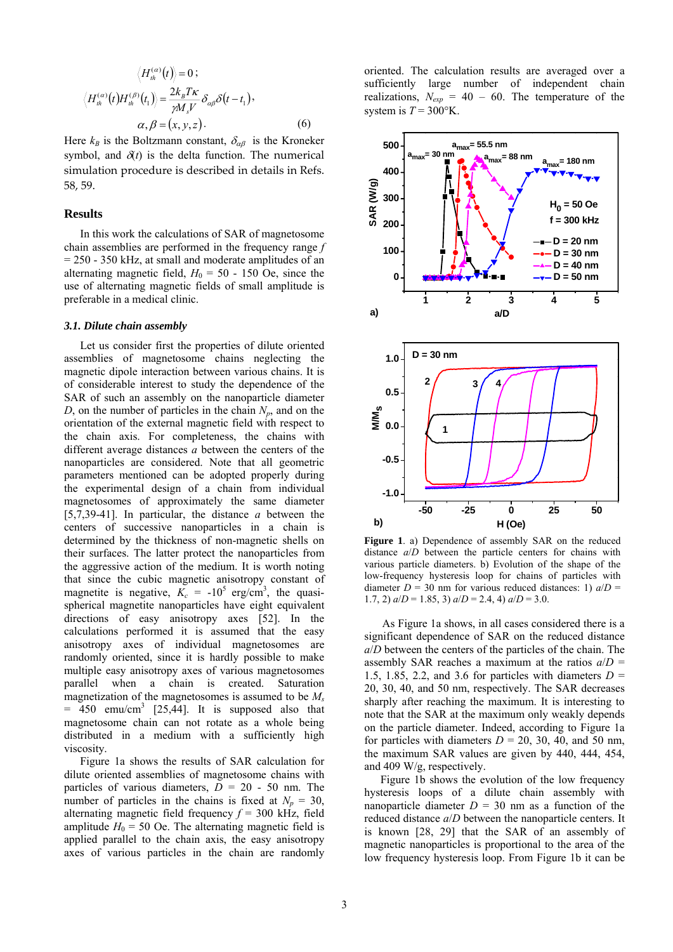$$
\langle H_{th}^{(\alpha)}(t) \rangle = 0 ;
$$
  

$$
\langle H_{th}^{(\alpha)}(t) H_{th}^{(\beta)}(t_1) \rangle = \frac{2k_B T \kappa}{\gamma M_s V} \delta_{\alpha\beta} \delta(t - t_1),
$$
  

$$
\alpha, \beta = (x, y, z).
$$
 (6)

Here  $k_B$  is the Boltzmann constant,  $\delta_{\alpha\beta}$  is the Kroneker symbol, and  $\delta(t)$  is the delta function. The numerical simulation procedure is described in details in Refs. 58, 59.

## **Results**

In this work the calculations of SAR of magnetosome chain assemblies are performed in the frequency range *f* = 250 - 350 kHz, at small and moderate amplitudes of an alternating magnetic field,  $H_0 = 50 - 150$  Oe, since the use of alternating magnetic fields of small amplitude is preferable in a medical clinic.

#### *3.1. Dilute chain assembly*

Let us consider first the properties of dilute oriented assemblies of magnetosome chains neglecting the magnetic dipole interaction between various chains. It is of considerable interest to study the dependence of the SAR of such an assembly on the nanoparticle diameter *D*, on the number of particles in the chain  $N_p$ , and on the orientation of the external magnetic field with respect to the chain axis. For completeness, the chains with different average distances *a* between the centers of the nanoparticles are considered. Note that all geometric parameters mentioned can be adopted properly during the experimental design of a chain from individual magnetosomes of approximately the same diameter [5,7,39-41]. In particular, the distance *a* between the centers of successive nanoparticles in a chain is determined by the thickness of non-magnetic shells on their surfaces. The latter protect the nanoparticles from the aggressive action of the medium. It is worth noting that since the cubic magnetic anisotropy constant of magnetite is negative,  $K_c = -10^5$  erg/cm<sup>3</sup>, the quasispherical magnetite nanoparticles have eight equivalent directions of easy anisotropy axes [52]. In the calculations performed it is assumed that the easy anisotropy axes of individual magnetosomes are randomly oriented, since it is hardly possible to make multiple easy anisotropy axes of various magnetosomes parallel when a chain is created. Saturation magnetization of the magnetosomes is assumed to be *Ms*  $= 450$  emu/cm<sup>3</sup> [25,44]. It is supposed also that magnetosome chain can not rotate as a whole being distributed in a medium with a sufficiently high viscosity.

Figure 1a shows the results of SAR calculation for dilute oriented assemblies of magnetosome chains with particles of various diameters,  $\overline{D} = 20$  - 50 nm. The number of particles in the chains is fixed at  $N_p = 30$ , alternating magnetic field frequency  $f = 300$  kHz, field amplitude  $H_0 = 50$  Oe. The alternating magnetic field is applied parallel to the chain axis, the easy anisotropy axes of various particles in the chain are randomly oriented. The calculation results are averaged over a sufficiently large number of independent chain realizations,  $N_{exp} = 40 - 60$ . The temperature of the system is  $T = 300$ °K.



Figure 1. a) Dependence of assembly SAR on the reduced distance *a*/*D* between the particle centers for chains with various particle diameters. b) Evolution of the shape of the low-frequency hysteresis loop for chains of particles with diameter  $D = 30$  nm for various reduced distances: 1)  $a/D =$ 1.7, 2)  $a/D = 1.85$ , 3)  $a/D = 2.4$ , 4)  $a/D = 3.0$ .

the maximum SAR values are given by  $440$ ,  $444$ ,  $454$ , and 409 W/g, respectively. As Figure 1a shows, in all cases considered there is a significant dependence of SAR on the reduced distance *a*/*D* between the centers of the particles of the chain. The assembly SAR reaches a maximum at the ratios  $a/D =$ 1.5, 1.85, 2.2, and 3.6 for particles with diameters  $D =$ 20, 30, 40, and 50 nm, respectively. The SAR decreases sharply after reaching the maximum. It is interesting to note that the SAR at the maximum only weakly depends on the particle diameter. Indeed, according to Figure 1a for particles with diameters  $D = 20$ , 30, 40, and 50 nm,

Figure 1b shows the evolution of the low frequency hysteresis loops of a dilute chain assembly with nanoparticle diameter  $D = 30$  nm as a function of the reduced distance *a*/*D* between the nanoparticle centers. It is known [28, 29] that the SAR of an assembly of magnetic nanoparticles is proportional to the area of the low frequency hysteresis loop. From Figure 1b it can be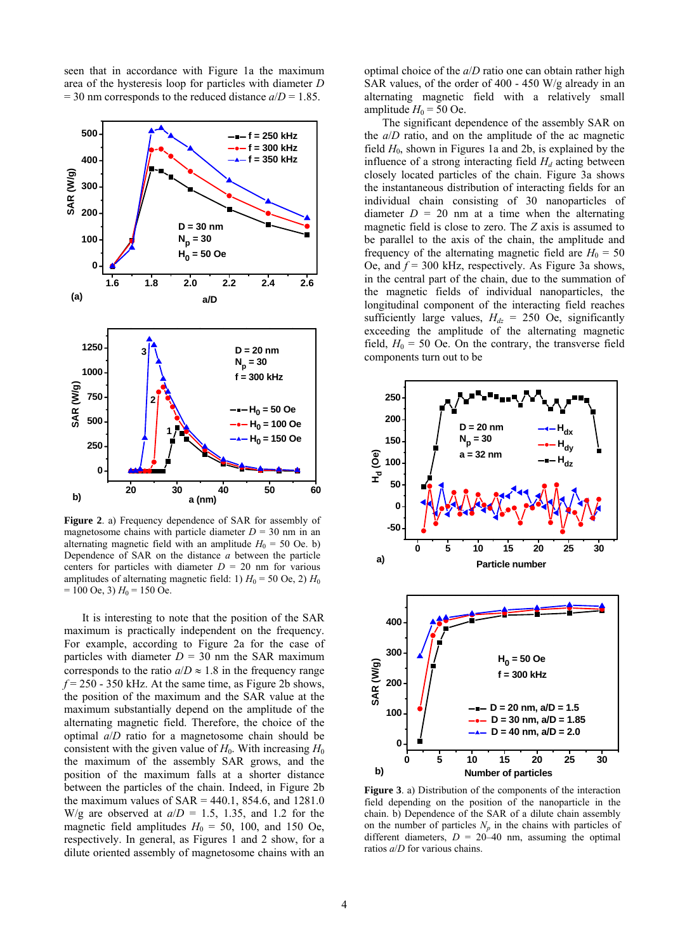seen that in accordance with Figure 1a the maximum area of the hysteresis loop for particles with diameter *D*  $= 30$  nm corresponds to the reduced distance  $a/D = 1.85$ .



amplitudes of alternating magnetic field: 1)  $H_0 = 50$  Oe, 2)  $H_0$  $= 100$  Oe, 3)  $H_0 = 150$  Oe. **Figure 2**. a) Frequency dependence of SAR for assembly of magnetosome chains with particle diameter  $D = 30$  nm in an alternating magnetic field with an amplitude  $H_0 = 50$  Oe. b) Dependence of SAR on the distance *a* between the particle centers for particles with diameter  $D = 20$  nm for various

It is interesting to note that the position of the SAR maximum is practically independent on the frequency. For example, according to Figure 2a for the case of particles with diameter  $D = 30$  nm the SAR maximum corresponds to the ratio  $a/D \approx 1.8$  in the frequency range  $f = 250 - 350$  kHz. At the same time, as Figure 2b shows, the position of the maximum and the SAR value at the maximum substantially depend on the amplitude of the alternating magnetic field. Therefore, the choice of the optimal *a*/*D* ratio for a magnetosome chain should be consistent with the given value of  $H_0$ . With increasing  $H_0$ the maximum of the assembly SAR grows, and the position of the maximum falls at a shorter distance between the particles of the chain. Indeed, in Figure 2b the maximum values of  $SAR = 440.1$ , 854.6, and 1281.0 W/g are observed at  $a/D = 1.5$ , 1.35, and 1.2 for the magnetic field amplitudes  $H_0 = 50$ , 100, and 150 Oe, respectively. In general, as Figures 1 and 2 show, for a dilute oriented assembly of magnetosome chains with an

alternating magnetic field with a relatively small amplitude  $H_0 = 50$  Oe. optimal choice of the *a*/*D* ratio one can obtain rather high SAR values, of the order of 400 - 450 W/g already in an

field,  $H_0 = 50$  Oe. On the contrary, the transverse field components turn out to be The significant dependence of the assembly SAR on the *a*/*D* ratio, and on the amplitude of the ac magnetic field  $H_0$ , shown in Figures 1a and 2b, is explained by the influence of a strong interacting field  $H_d$  acting between closely located particles of the chain. Figure 3a shows the instantaneous distribution of interacting fields for an individual chain consisting of 30 nanoparticles of diameter  $D = 20$  nm at a time when the alternating magnetic field is close to zero. The *Z* axis is assumed to be parallel to the axis of the chain, the amplitude and frequency of the alternating magnetic field are  $H_0 = 50$ Oe, and *f* = 300 kHz, respectively. As Figure 3a shows, in the central part of the chain, due to the summation of the magnetic fields of individual nanoparticles, the longitudinal component of the interacting field reaches sufficiently large values,  $H_{dz} = 250$  Oe, significantly exceeding the amplitude of the alternating magnetic



different diameters,  $D = 20-40$  nm, assuming the optimal **Figure 3**. a) Distribution of the components of the interaction field depending on the position of the nanoparticle in the chain. b) Dependence of the SAR of a dilute chain assembly on the number of particles  $N_p$  in the chains with particles of ratios *a*/*D* for various chains.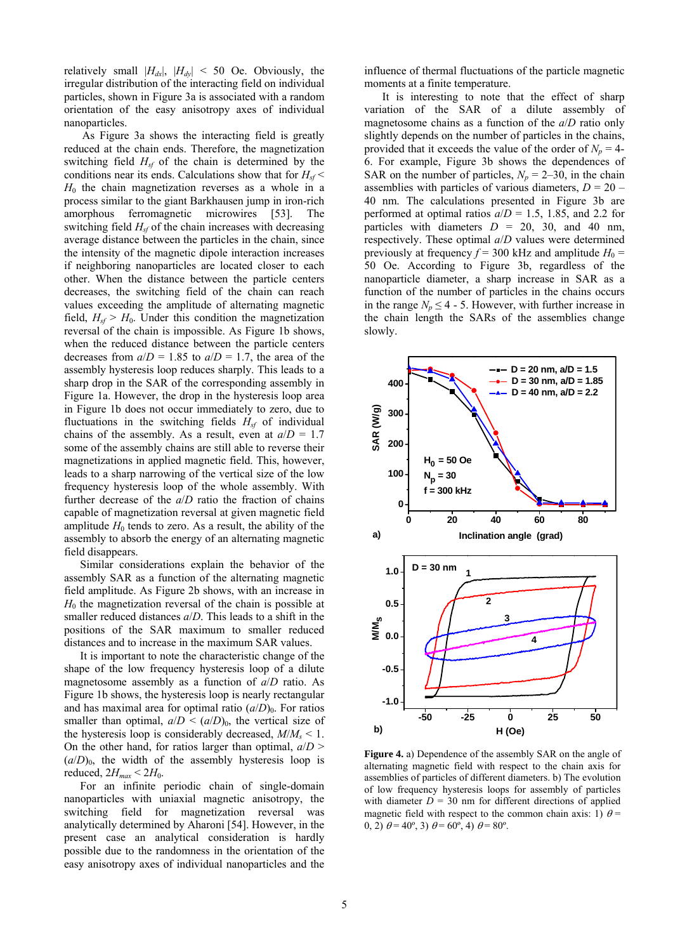relatively small  $|H_{dx}|$ ,  $|H_{dy}| < 50$  Oe. Obviously, the irregular distribution of the interacting field on individual particles, shown in Figure 3a is associated with a random orie ntation of the easy anisotropy axes of individual nanoparticles.

amplitude  $H_0$  tends to zero. As a result, the ability of the ass embly to absorb the energy of an alternating magnetic As Figure 3a shows the interacting field is greatly reduced at the chain ends. Therefore, the magnetization switching field  $H<sub>sf</sub>$  of the chain is determined by the conditions near its ends. Calculations show that for  $H_{sf}$ *H*0 the chain magnetization reverses as a whole in a process similar to the giant Barkhausen jump in iron-rich amorphous ferromagnetic microwires [53]. The switching field  $H<sub>sf</sub>$  of the chain increases with decreasing average distance between the particles in the chain, since the intensity of the magnetic dipole interaction increases if neighboring nanoparticles are located closer to each other. When the distance between the particle centers decreases, the switching field of the chain can reach values exceeding the amplitude of alternating magnetic field,  $H_{sf} > H_0$ . Under this condition the magnetization reversal of the chain is impossible. As Figure 1b shows, when the reduced distance between the particle centers decreases from  $a/D = 1.85$  to  $a/D = 1.7$ , the area of the assembly hysteresis loop reduces sharply. This leads to a sharp drop in the SAR of the corresponding assembly in Figure 1a. However, the drop in the hysteresis loop area in Figure 1b does not occur immediately to zero, due to fluctuations in the switching fields  $H<sub>sf</sub>$  of individual chains of the assembly. As a result, even at  $a/D = 1.7$ some of the assembly chains are still able to reverse their magnetizations in applied magnetic field. This, however, leads to a sharp narrowing of the vertical size of the low frequency hysteresis loop of the whole assembly. With further decrease of the *a*/*D* ratio the fraction of chains capable of magnetization reversal at given magnetic field field disappears.

smaller reduced distances  $a/D$ . This leads to a shift in the pos itions of the SAR maximum to smaller reduced Similar considerations explain the behavior of the assembly SAR as a function of the alternating magnetic field amplitude. As Figure 2b shows, with an increase in  $H_0$  the magnetization reversal of the chain is possible at distances and to increase in the maximum SAR values.

On the other hand, for ratios larger than optimal,  $a/D$  >  $(a/D)_0$ , the width of the assembly hysteresis loop is It is important to note the characteristic change of the shape of the low frequency hysteresis loop of a dilute magnetosome assembly as a function of *a*/*D* ratio. As Figure 1b shows, the hysteresis loop is nearly rectangular and has maximal area for optimal ratio  $(a/D)_0$ . For ratios smaller than optimal,  $a/D \leq (a/D)_0$ , the vertical size of the hysteresis loop is considerably decreased,  $M/M_s < 1$ . reduced,  $2H_{max}$  <  $2H_0$ .

easy anisotropy axes of individual nanoparticles and the For an infinite periodic chain of single-domain nanoparticles with uniaxial magnetic anisotropy, the switching field for magnetization reversal was analytically determined by Aharoni [54]. However, in the present case an analytical consideration is hardly possible due to the randomness in the orientation of the

influence of thermal fluctuations of the particle magnetic moments at a finite temperature.

in the range  $N_p \leq 4 - 5$ . However, with further increase in the chain length the SARs of the assemblies change slowly. It is interesting to note that the effect of sharp variation of the SAR of a dilute assembly of magnetosome chains as a function of the *a*/*D* ratio only slightly depends on the number of particles in the chains, provided that it exceeds the value of the order of  $N_p = 4$ -6. For example, Figure 3b shows the dependences of SAR on the number of particles,  $N_p = 2-30$ , in the chain assemblies with particles of various diameters,  $D = 20$  – 40 nm. The calculations presented in Figure 3b are performed at optimal ratios  $a/D = 1.5$ , 1.85, and 2.2 for particles with diameters  $D = 20$ , 30, and 40 nm, respectively. These optimal *a*/*D* values were determined previously at frequency  $f = 300$  kHz and amplitude  $H_0 =$ 50 Oe. According to Figure 3b, regardless of the nanoparticle diameter, a sharp increase in SAR as a function of the number of particles in the chains occurs



**Figure 4.** a) Dependence of the assembly SAR on the angle of alternating magnetic field with respect to the chain axis for assemblies of particles of different diameters. b) The evolution of low frequency hysteresis loops for assembly of particles with diameter  $D = 30$  nm for different directions of applied magnetic field with respect to the common chain axis: 1)  $\theta$  = 0, 2)  $\theta = 40^{\circ}$ , 3)  $\theta = 60^{\circ}$ , 4)  $\theta = 80^{\circ}$ .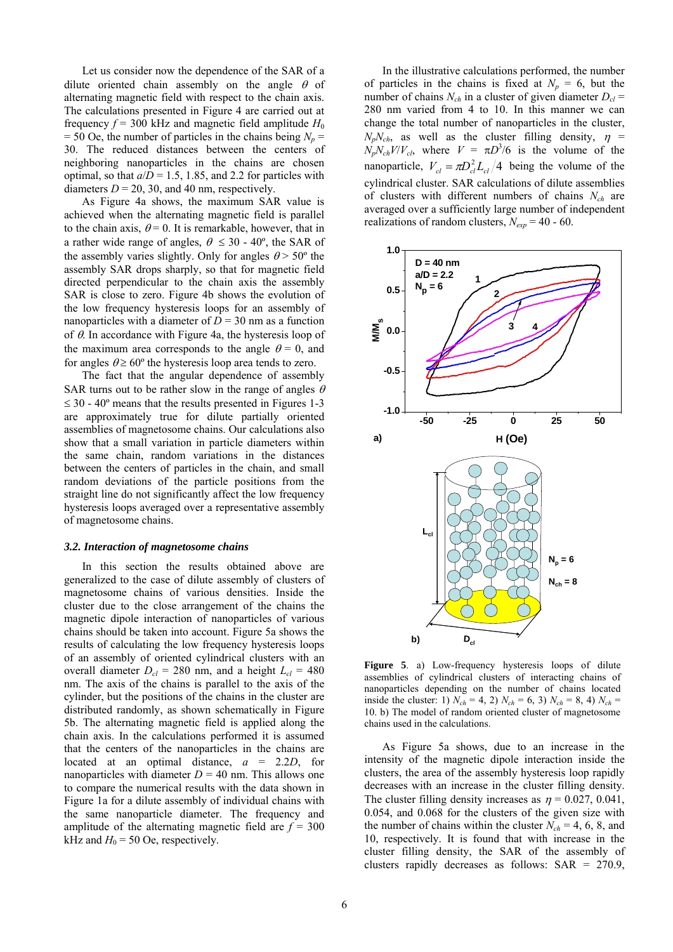Let us consider now the dependence of the SAR of a dilute oriented chain assembly on the angle  $\theta$  of alternating magnetic field with respect to the chain axis. The calculations presented in Figure 4 are carried out at frequency  $f = 300$  kHz and magnetic field amplitude  $H_0$  $= 50$  Oe, the number of particles in the chains being  $N_p =$ 30. The reduced distances between the centers of neighboring nanoparticles in the chains are chosen optimal, so that  $a/D = 1.5$ , 1.85, and 2.2 for particles with diameters  $D = 20$ , 30, and 40 nm, respectively.

 As Figure 4a shows, the maximum SAR value is achieved when the alternating magnetic field is parallel to the chain axis,  $\theta = 0$ . It is remarkable, however, that in a rather wide range of angles,  $\theta \leq 30$  - 40°, the SAR of the assembly varies slightly. Only for angles  $\theta$  > 50° the assembly SAR drops sharply, so that for magnetic field directed perpendicular to the chain axis the assembly SAR is close to zero. Figure 4b shows the evolution of the low frequency hysteresis loops for an assembly of nanoparticles with a diameter of  $D = 30$  nm as a function of  $\theta$ . In accordance with Figure 4a, the hysteresis loop of the maximum area corresponds to the angle  $\theta = 0$ , and for angles  $\theta \ge 60^{\circ}$  the hysteresis loop area tends to zero.

random deviations of the particle positions from the straight line do not significantly affect the low frequency hysteresis loops averaged over a representative assembly of m agnetosome chains. The fact that the angular dependence of assembly SAR turns out to be rather slow in the range of angles  $\theta$  $\leq 30 - 40^{\circ}$  means that the results presented in Figures 1-3 are approximately true for dilute partially oriented assemblies of magnetosome chains. Our calculations also show that a small variation in particle diameters within the same chain, random variations in the distances between the centers of particles in the chain, and small

#### *3.2. Interaction of magnetosome chains*

Figure 1a for a dilute assembly of individual chains with the same nanoparticle diameter. The frequency and amplitude of the alternating magnetic field are  $f = 300$ In this section the results obtained above are generalized to the case of dilute assembly of clusters of magnetosome chains of various densities. Inside the cluster due to the close arrangement of the chains the magnetic dipole interaction of nanoparticles of various chains should be taken into account. Figure 5a shows the results of calculating the low frequency hysteresis loops of an assembly of oriented cylindrical clusters with an overall diameter  $D_{cl}$  = 280 nm, and a height  $L_{cl}$  = 480 nm. The axis of the chains is parallel to the axis of the cylinder, but the positions of the chains in the cluster are distributed randomly, as shown schematically in Figure 5b. The alternating magnetic field is applied along the chain axis. In the calculations performed it is assumed that the centers of the nanoparticles in the chains are located at an optimal distance, *a* = 2.2*D*, for nanoparticles with diameter  $D = 40$  nm. This allows one to compare the numerical results with the data shown in kHz and  $H_0$  = 50 Oe, respectively.

 $280$  nm varied from 4 to 10. In this manner we can In the illustrative calculations performed, the number of particles in the chains is fixed at  $N_p = 6$ , but the number of chains  $N_{ch}$  in a cluster of given diameter  $D_{cl}$  = change the total number of nanoparticles in the cluster,  $N_pN_{ch}$ , as well as the cluster filling density,  $\eta$  =  $N_pN_{ch}V/V_{ch}$ , where  $V = \pi D^3/6$  is the volume of the nanoparticle,  $V_{cl} = \pi D_{cl}^2 L_{cl} / 4$  being the volume of the cylindrical cluster. SAR calculations of dilute assemblies of clusters with different numbers of chains *Nch* are averaged over a sufficiently large number of independent realizations of random clusters,  $N_{exp} = 40 - 60$ .



Figure 5. a) Low-frequency hysteresis loops of dilute assemblies of cylindrical clus ters of interacting chains of n anoparticles depending on the number of chains located inside the cluster: 1)  $N_{ch} = 4$ , 2)  $N_{ch} = 6$ , 3)  $N_{ch} = 8$ , 4)  $N_{ch} =$ 10. b) The model of random oriented cluster of magnetosome chains used in the calculations.

As Figure 5a shows, due to an increase in the intensity of the magnetic dipole interaction inside the clusters, the area of the assembly hysteresis loop rapidly decreases with an increase in the cluster filling density. The cluster filling density increases as  $\eta = 0.027, 0.041$ , 0.054, and 0.068 for the clusters of the given size with the number of chains within the cluster  $N_{ch} = 4, 6, 8,$  and 10, respectively. It is found that with increase in the cluster filling density, the SAR of the assembly of clusters rapidly decreases as follows: SAR = 270.9,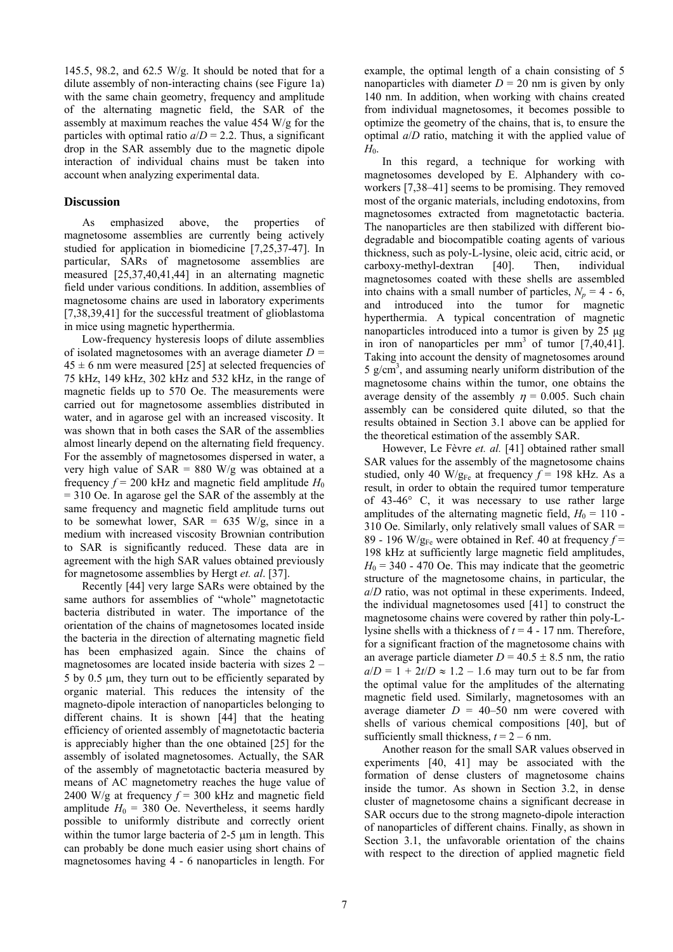145.5, 98.2, and 62.5 W/g. It should be noted that for a dilute assembly of non-interacting chains (see Figure 1a) with the same chain geometry, frequency and amplitude of the alternating magnetic field, the SAR of the assembly at maximum reaches the value 454 W/g for the particles with optimal ratio  $a/D = 2.2$ . Thus, a significant drop in the SAR assembly due to the magnetic dipole inte raction of individual chains must be taken into account when analyzing experimental data.

## **Discussion**

measured  $[25,37,40,41,44]$  in an alternating magnetic As emphasized above, the properties of magnetosome assemblies are currently being actively studied for application in biomedicine [7,25,37-47]. In particular, SARs of magnetosome assemblies are field under various conditions. In addition, assemblies of magnetosome chains are used in laboratory experiments [7,38,39,41] for the successful treatment of glioblastoma in mice using magnetic hyperthermia.

to be somewhat lower,  $SAR = 635$  W/g, since in a medium with increased viscosity Brownian contribution Low-frequency hysteresis loops of dilute assemblies of isolated magnetosomes with an average diameter  $D =$  $45 \pm 6$  nm were measured [25] at selected frequencies of 75 kHz, 149 kHz, 302 kHz and 532 kHz, in the range of magnetic fields up to 570 Oe. The measurements were carried out for magnetosome assemblies distributed in water, and in agarose gel with an increased viscosity. It was shown that in both cases the SAR of the assemblies almost linearly depend on the alternating field frequency. For the assembly of magnetosomes dispersed in water, a very high value of  $SAR = 880$  W/g was obtained at a frequency  $f = 200$  kHz and magnetic field amplitude  $H_0$ = 310 Oe. In agarose gel the SAR of the assembly at the same frequency and magnetic field amplitude turns out to SAR is significantly reduced. These data are in agreement with the high SAR values obtained previously for magnetosome assemblies by Hergt *et. al*. [37].

 Recently [44] very large SARs were obtained by the same authors for assemblies of "whole" magnetotactic bacteria distributed in water. The importance of the orientation of the chains of magnetosomes located inside the bacteria in the direction of alternating magnetic field has been emphasized again. Since the chains of magnetosomes are located inside bacteria with sizes 2 – 5 by 0.5 μm, they turn out to be efficiently separated by organic material. This reduces the intensity of the magneto-dipole interaction of nanoparticles belonging to different chains. It is shown [44] that the heating efficiency of oriented assembly of magnetotactic bacteria is appreciably higher than the one obtained [25] for the assembly of isolated magnetosomes. Actually, the SAR of the assembly of magnetotactic bacteria measured by means of AC magnetometry reaches the huge value of 2400 W/g at frequency  $f = 300$  kHz and magnetic field amplitude  $H_0 = 380$  Oe. Nevertheless, it seems hardly possible to uniformly distribute and correctly orient within the tumor large bacteria of 2-5 μm in length. This can probably be done much easier using short chains of magnetosomes having 4 - 6 nanoparticles in length. For

140 nm. In addition, when working with chains created from individual magnetosomes, it becomes possible to example, the optimal length of a chain consisting of 5 nanoparticles with diameter  $D = 20$  nm is given by only optimize the geometry of the chains, that is, to ensure the optimal *a*/*D* ratio, matching it with the applied value of *H*<sub>0</sub>.

magnetosome chains within the tumor, one obtains the In this regard, a technique for working with magnetosomes developed by E. Alphandery with coworkers [7,38–41] seems to be promising. They removed most of the organic materials, including endotoxins, from magnetosomes extracted from magnetotactic bacteria. The nanoparticles are then stabilized with different biodegradable and biocompatible coating agents of various thickness, such as poly-L-lysine, oleic acid, citric acid, or carboxy-methyl-dextran [40]. Then, individual magnetosomes coated with these shells are assembled into chains with a small number of particles,  $N_p = 4 - 6$ , and introduced into the tumor for magnetic hyperthermia. A typical concentration of magnetic nanoparticles introduced into a tumor is given by 25 μg in iron of nanoparticles per  $mm<sup>3</sup>$  of tumor  $[7,40,41]$ . Taking into account the density of magnetosomes around  $5 \text{ g/cm}^3$ , and assuming nearly uniform distribution of the average density of the assembly  $n = 0.005$ . Such chain assembly can be considered quite diluted, so that the results obtained in Section 3.1 above can be applied for the theoretical estimation of the assembly SAR.

the optimal value for the amplitudes of the alternating magnetic field used. Similarly, magnetosomes with an However, Le Fèvre *et. al.* [41] obtained rather small SAR values for the assembly of the magnetosome chains studied, only 40 W/ $g_{Fe}$  at frequency  $f = 198$  kHz. As a result, in order to obtain the required tumor temperature of 43-46° C, it was necessary to use rather large amplitudes of the alternating magnetic field,  $H_0 = 110$  -310 Oe. Similarly, only relatively small values of SAR = 89 - 196 W/ $g_{Fe}$  were obtained in Ref. 40 at frequency  $f =$ 198 kHz at sufficiently large magnetic field amplitudes,  $H_0$  = 340 - 470 Oe. This may indicate that the geometric structure of the magnetosome chains, in particular, the *a*/*D* ratio, was not optimal in these experiments. Indeed, the individual magnetosomes used [41] to construct the magnetosome chains were covered by rather thin poly-Llysine shells with a thickness of *t* = 4 - 17 nm. Therefore, for a significant fraction of the magnetosome chains with an average particle diameter  $D = 40.5 \pm 8.5$  nm, the ratio  $a/D = 1 + 2t/D \approx 1.2 - 1.6$  may turn out to be far from average diameter  $D = 40-50$  nm were covered with shells of various chemical compositions [40], but of sufficiently small thickness,  $t = 2 - 6$  nm.

 Another reason for the small SAR values observed in experiments [40, 41] may be associated with the formation of dense clusters of magnetosome chains inside the tumor. As shown in Section 3.2, in dense cluster of magnetosome chains a significant decrease in SAR occurs due to the strong magneto-dipole interaction of nanoparticles of different chains. Finally, as shown in Section 3.1, the unfavorable orientation of the chains with respect to the direction of applied magnetic field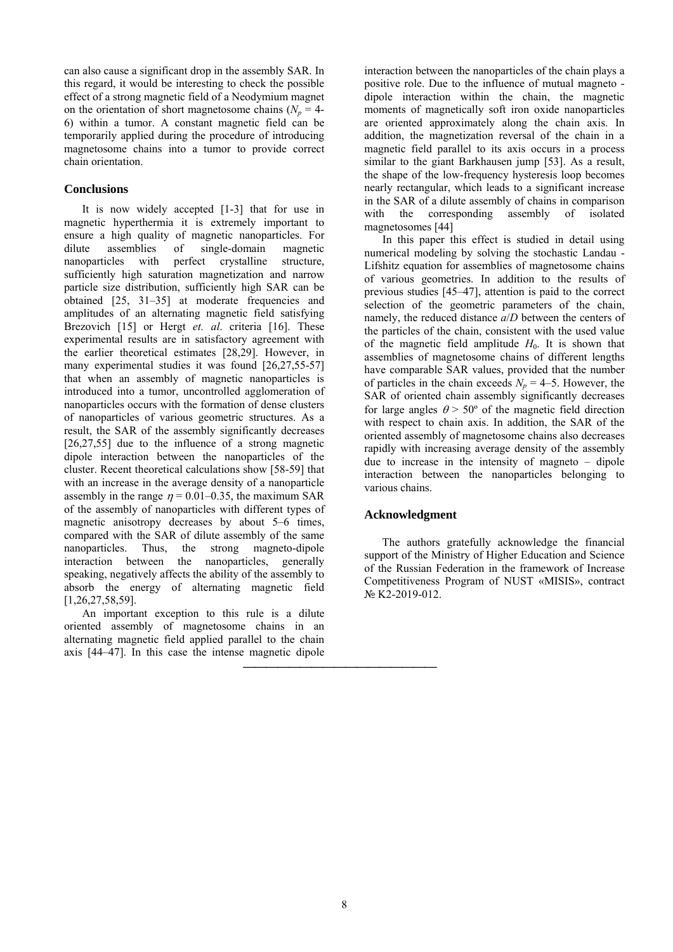can also cause a significant drop in the assembly SAR. In this regard, it would be interesting to check the possible effect of a strong magnetic field of a Neodymium magnet on the orientation of short magnetosome chains  $(N_p = 4-1)$ 6) within a tumor. A constant magnetic field can be temporarily applied during the procedure of introducing mag netosome chains into a tumor to provide correct chain orientation.

## **Conclusions**

Thus, the strong magneto-dipole inte raction between the nanoparticles, generally It is now widely accepted [1-3] that for use in magnetic hyperthermia it is extremely important to ensure a high quality of magnetic nanoparticles. For dilute assemblies of single-domain magnetic nanoparticles with perfect crystalline structure, nanoparticles with perfect crystalline structure, sufficiently high saturation magnetization and narrow particle size distribution, sufficiently high SAR can be obtained [25, 31–35] at moderate frequencies and amplitudes of an alternating magnetic field satisfying Brezovich [15] or Hergt *et. al*. criteria [16]. These experimental results are in satisfactory agreement with the earlier theoretical estimates [28,29]. However, in many experimental studies it was found  $[26,27,55-57]$ that when an assembly of magnetic nanoparticles is introduced into a tumor, uncontrolled agglomeration of nanoparticles occurs with the formation of dense clusters of nanoparticles of various geometric structures. As a result, the SAR of the assembly significantly decreases [26,27,55] due to the influence of a strong magnetic dipole interaction between the nanoparticles of the cluster. Recent theoretical calculations show [58-59] that with an increase in the average density of a nanoparticle assembly in the range  $\eta = 0.01 - 0.35$ , the maximum SAR of the assembly of nanoparticles with different types of magnetic anisotropy decreases by about 5–6 times, compared with the SAR of dilute assembly of the same nanoparticles. speaking, negatively affects the ability of the assembly to absorb the energy of alternating magnetic field [1,26,27,58,59].

axis [44–47]. In this case the intense magnetic dipole An important exception to this rule is a dilute oriented assembly of magnetosome chains in an alternating magnetic field applied parallel to the chain

⎯⎯⎯⎯⎯⎯⎯⎯⎯⎯⎯⎯⎯⎯⎯⎯⎯

in the SAR of a dilute assembly of chains in comparison with the interaction between the nanoparticles of the chain plays a positive role. Due to the influence of mutual magneto dipole interaction within the chain, the magnetic moments of magnetically soft iron oxide nanoparticles are oriented approximately along the chain axis. In addition, the magnetization reversal of the chain in a magnetic field parallel to its axis occurs in a process similar to the giant Barkhausen jump [53]. As a result, the shape of the low-frequency hysteresis loop becomes nearly rectangular, which leads to a significant increase corresponding assembly of isolated magnetosomes [44]

due to increase in the intensity of magneto  $-$  dipole interaction between the nanoparticles belonging to In this paper this effect is studied in detail using numerical modeling by solving the stochastic Landau - Lifshitz equation for assemblies of magnetosome chains of various geometries. In addition to the results of previous studies [45–47], attention is paid to the correct selection of the geometric parameters of the chain, namely, the reduced distance *a*/*D* between the centers of the particles of the chain, consistent with the used value of the magnetic field amplitude  $H_0$ . It is shown that assemblies of magnetosome chains of different lengths have comparable SAR values, provided that the number of particles in the chain exceeds  $N_p = 4-5$ . However, the SAR of oriented chain assembly significantly decreases for large angles  $\theta$  > 50° of the magnetic field direction with respect to chain axis. In addition, the SAR of the oriented assembly of magnetosome chains also decreases rapidly with increasing average density of the assembly various chains.

# **Acknowledgment**

of the Russian Federation in the framework of Increase Competitiveness Program of NUST «MISIS», contract № K2-2019-012. The authors gratefully acknowledge the financial support of the Ministry of Higher Education and Science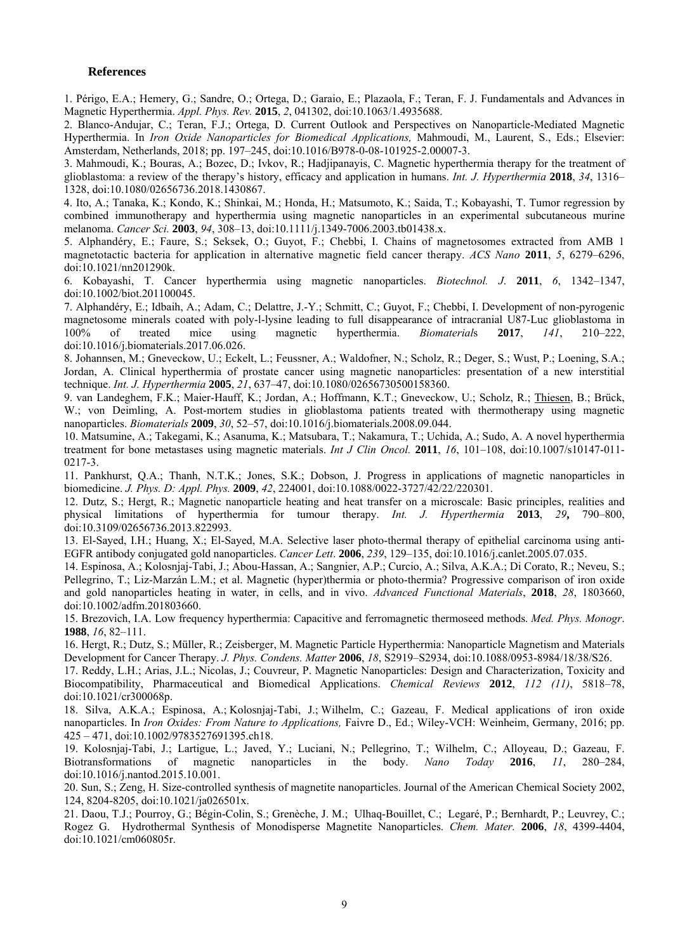## **References**

1. Périgo, E.A.; Hemery, G.; Sandre, O.; Ortega, D.; Garaio, E.; Plazaola, F.; Teran, F. J. Fundamentals and Advances in Magnetic Hyperthermia. *Appl. Phys. Rev.* **2015**, *2*, 041302, doi:10.1063/1.4935688.

2. Blanco-Andujar, C.; Teran, F.J.; Ortega, D. Current Outlook and Perspectives on Nanoparticle-Mediated Magnetic Hyperthermia. In *Iron Oxide Nanoparticles for Biomedical Applications,* Mahmoudi, M., Laurent, S., Eds.; Elsevier: Amsterdam, Netherlands, 2018; pp. 197–245, doi:10.1016/B978-0-08-101925-2.00007-3.

3. Mahmoudi, K.; Bouras, A.; Bozec, D.; Ivkov, R.; Hadjipanayis, C. Magnetic hyperthermia therapy for the treatment of glioblastoma: a review of the therapy's history, efficacy and application in humans. *Int. J. Hyperthermia* **2018**, *34*, 1316– 1328, doi:10.1080/02656736.2018.1430867.

4. Ito, A.; Tanaka, K.; Kondo, K.; Shinkai, M.; Honda, H.; Matsumoto, K.; Saida, T.; Kobayashi, T. Tumor regression by combined immunotherapy and hyperthermia using magnetic nanoparticles in an experimental subcutaneous murine melanoma. *Cancer Sci.* **2003**, *94*, 308–13, doi:10.1111/j.1349-7006.2003.tb01438.x.

5. Alphandéry, E.; Faure, S.; Seksek, O.; Guyot, F.; Chebbi, I. Chains of magnetosomes extracted from AMB 1 magnetotactic bacteria for application in alternative magnetic field cancer therapy. *ACS Nano* **2011**, *5*, 6279–6296, doi:10.1021/nn201290k.

6. Kobayashi, T. Cancer hyperthermia using magnetic nanoparticles. *Biotechnol. J*. **2011**, *6*, 1342–1347, doi:10.1002/biot.201100045.

7. Alphandéry, E.; Idbaih, A.; Adam, C.; Delattre, J.-Y.; Schmitt, C.; Guyot, F.; Chebbi, I. Development of non-pyrogenic magnetosome minerals coated with poly-l-lysine leading to full disappearance of intracranial U87-Luc glioblastoma in 100% of treated mice using magnetic hyperthermia. *Biomaterial*s **2017**, *141*, 210–222, doi:10.1016/j.biomaterials.2017.06.026.

8. Johannsen, M.; Gneveckow, U.; Eckelt, L.; Feussner, A.; Waldofner, N.; Scholz, R.; Deger, S.; Wust, P.; Loening, S.A.; Jordan, A. Clinical hyperthermia of prostate cancer using magnetic nanoparticles: presentation of a new interstitial technique. *Int. J. Hyperthermia* **2005**, *21*, 637–47, doi:10.1080/02656730500158360.

9. van Landeghem, F.K.; Maier-Hauff, K.; Jordan, A.; Hoffmann, K.T.; Gneveckow, U.; Scholz, R.; Thiesen, B.; Brück, W.; von Deimling, A. Post-mortem studies in glioblastoma patients treated with thermotherapy using magnetic nanoparticles. *Biomaterials* **2009**, *30*, 52–57, doi:10.1016/j.biomaterials.2008.09.044.

10. Matsumine, A.; Takegami, K.; Asanuma, K.; Matsubara, T.; Nakamura, T.; Uchida, A.; Sudo, A. A novel hyperthermia treatment for bone metastases using magnetic materials. *Int J Clin Oncol.* **2011**, *16*, 101–108, doi:10.1007/s10147-011- 0217-3.

11. Pankhurst, Q.A.; Thanh, N.T.K.; Jones, S.K.; Dobson, J. Progress in applications of magnetic nanoparticles in biomedicine. *J. Phys. D: Appl. Phys.* **2009**, *42*, 224001, doi:10.1088/0022-3727/42/22/220301.

12. Dutz, S.; Hergt, R.; Magnetic nanoparticle heating and heat transfer on a microscale: Basic principles, realities and physical limitations of hyperthermia for tumour therapy. *Int. J. Hyperthermia* **2013**, *29***,** 790–800, doi:10.3109/02656736.2013.822993.

13. El-Sayed, I.H.; Huang, X.; El-Sayed, M.A. Selective laser photo-thermal therapy of epithelial carcinoma using anti-EGFR antibody conjugated gold nanoparticles. *Cancer Lett*. **2006**, *239*, 129–135, doi:10.1016/j.canlet.2005.07.035.

Pellegrino, T.; Liz-Marzán L.M.; et al. Magnetic (hyper)thermia or photo-thermia? Progressive comparison of iron oxide doi:10.1002/adfm.201803660. 14. Espinosa, A.; Kolosnjaj-Tabi, J.; Abou-Hassan, A.; Sangnier, A.P.; Curcio, A.; Silva, A.K.A.; Di Corato, R.; Neveu, S.; and gold nanoparticles heating in water, in cells, and in vivo. *Advanced Functional Materials*, **2018**, *28*, 1803660,

15. Brezovich, I.A. Low frequency hyperthermia: Capacitive and ferromagnetic thermoseed methods. *Med. Phys. Monogr*. **1988**, *16*, 82–111.

16. Hergt, R.; Dutz, S.; Müller, R.; Zeisberger, M. Magnetic Particle Hyperthermia: Nanoparticle Magnetism and Materials Development for Cancer Therapy. *J. Phys. Condens. Matter* **2006**, *18*, S2919–S2934, doi:10.1088/0953-8984/18/38/S26.

17. Reddy, L.H.; Arias, J.L.; Nicolas, J.; Couvreur, P. Magnetic Nanoparticles: Design and Characterization, Toxicity and Biocompatibility, Pharmaceutical and Biomedical Applications. *Chemical Reviews* **2012**, *112 (11)*, 5818–78, doi:10.1021/cr300068p.

18. Silva, A.K.A.; Espinosa, A.; Kolosnjaj-Tabi, J.; Wilhelm, C.; Gazeau, F. Medical applications of iron oxide nanoparticles. In *Iron Oxides: From Nature to Applications,* Faivre D., Ed.; Wiley-VCH: Weinheim, Germany, 2016; pp. 425 – 471, doi:10.1002/9783527691395.ch18.

19. Kolosnjaj-Tabi, J.; Lartigue, L.; Javed, Y.; Luciani, N.; Pellegrino, T.; Wilhelm, C.; Alloyeau, D.; Gazeau, F. Biotransformations of magnetic nanoparticles in the body. *Nano Today* **2016**, *11*, 280–284, doi:10.1016/j.nantod.2015.10.001.

20. Sun, S.; Zeng, H. Size-controlled synthesis of magnetite nanoparticles. Journal of the American Chemical Society 2002, 124, 8204-8205, doi:10.1021/ja026501x.

21. Daou, T.J.; Pourroy, G.; Bégin-Colin, S.; Grenèche, J. M.; Ulhaq-Bouillet, C.; Legaré, P.; Bernhardt, P.; Leuvrey, C.; Rogez G. Hydrothermal Synthesis of Monodisperse Magnetite Nanoparticles. *Chem. Mater.* **2006**, *18*, 4399-4404, doi:10.1021/cm060805r.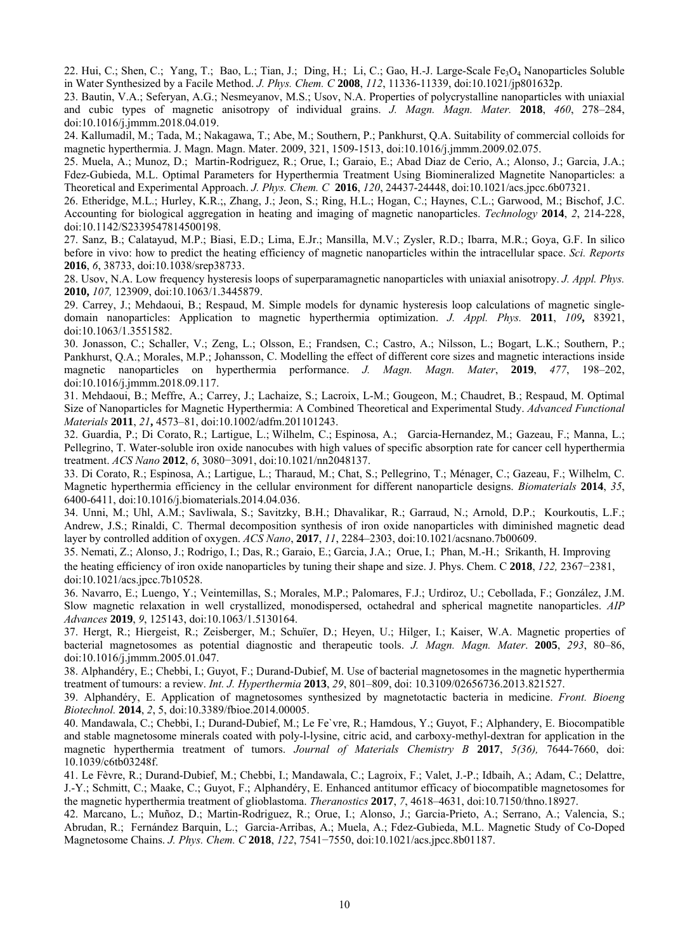22. Hui, C.; Shen, C.; Yang, T.; Bao, L.; Tian, J.; Ding, H.; Li, C.; Gao, H.-J. Large-Scale Fe<sub>3</sub>O<sub>4</sub> Nanoparticles Soluble in Water Synthesized by a Facile Method. *J. Phys. Chem. C* **2008**, *112*, 11336-11339, doi:10.1021/jp801632p.

23. Bautin, V.A.; Seferyan, A.G.; Nesmeyanov, M.S.; Usov, N.A. Properties of polycrystalline nanoparticles with uniaxial and cubic types of magnetic anisotropy of individual grains. *J. Magn. Magn. Mater.* **2018**, *460*, 278–284, doi:10.1016/j.jmmm.2018.04.019.

24. Kallumadil, M.; Tada, M.; Nakagawa, T.; Abe, M.; Southern, P.; Pankhurst, Q.A. Suitability of commercial colloids for magnetic hyperthermia. J. Magn. Magn. Mater. 2009, 321, 1509-1513, doi:10.1016/j.jmmm.2009.02.075.

25. Muela, A.; Munoz, D.; Martin-Rodriguez, R.; Orue, I.; Garaio, E.; Abad Diaz de Cerio, A.; Alonso, J.; Garcia, J.A.; Fdez-Gubieda, M.L. Optimal Parameters for Hyperthermia Treatment Using Biomineralized Magnetite Nanoparticles: a Theoretical and Experimental Approach. *J. Phys. Chem. C* **2016**, *120*, 24437-24448, doi:10.1021/acs.jpcc.6b07321.

26. Etheridge, M.L.; Hurley, K.R.;, Zhang, J.; Jeon, S.; Ring, H.L.; Hogan, C.; Haynes, C.L.; Garwood, M.; Bischof, J.C. Accounting for biological aggregation in heating and imaging of magnetic nanoparticles. *Technology* **2014**, *2*, 214-228, doi:10.1142/S2339547814500198.

27. Sanz, B.; Calatayud, M.P.; Biasi, E.D.; Lima, E.Jr.; Mansilla, M.V.; Zysler, R.D.; Ibarra, M.R.; Goya, G.F. In silico before in vivo: how to predict the heating efficiency of magnetic nanoparticles within the intracellular space. *Sci. Reports* **2016**, *6*, 38733, doi:10.1038/srep38733.

28. Usov, N.A. Low frequency hysteresis loops of superparamagnetic nanoparticles with uniaxial anisotropy. *J. Appl. Phys.*  **2010,** *107,* 123909, doi:10.1063/1.3445879.

29. Carrey, J.; Mehdaoui, B.; Respaud, M. Simple models for dynamic hysteresis loop calculations of magnetic singledomain nanoparticles: Application to magnetic hyperthermia optimization. *J. Appl. Phys.* **2011**, *109***,** 83921, doi:10.1063/1.3551582.

30. Jonasson, C.; Schaller, V.; Zeng, L.; Olsson, E.; Frandsen, C.; Castro, A.; Nilsson, L.; Bogart, L.K.; Southern, P.; Pankhurst, Q.A.; Morales, M.P.; Johansson, C. Modelling the effect of different core sizes and magnetic interactions inside magnetic nanoparticles on hyperthermia performance. *J. Magn. Magn. Mater*, **2019**, *477*, 198–202, doi:10.1016/j.jmmm.2018.09.117.

31. Mehdaoui, B.; Meffre, A.; Carrey, J.; Lachaize, S.; Lacroix, L-M.; Gougeon, M.; Chaudret, B.; Respaud, M. Optimal Size of Nanoparticles for Magnetic Hyperthermia: A Combined Theoretical and Experimental Study. *Advanced Functional Materials* **2011**, *21***,** 4573–81, doi:10.1002/adfm.201101243.

32. Guardia, P.; Di Corato, R.; Lartigue, L.; Wilhelm, C.; Espinosa, A.; Garcia-Hernandez, M.; Gazeau, F.; Manna, L.; Pellegrino, T. Water-soluble iron oxide nanocubes with high values of specific absorption rate for cancer cell hyperthermia treatment. *ACS Nano* **2012**, *6*, 3080−3091, doi:10.1021/nn2048137.

33. Di Corato, R.; Espinosa, A.; Lartigue, L.; Tharaud, M.; Chat, S.; Pellegrino, T.; Ménager, C.; Gazeau, F.; Wilhelm, C. Magnetic hyperthermia efficiency in the cellular environment for different nanoparticle designs. *Biomaterials* **2014**, *35*, 6400-6411, doi:10.1016/j.biomaterials.2014.04.036.

34. Unni, M.; Uhl, A.M.; Savliwala, S.; Savitzky, B.H.; Dhavalikar, R.; Garraud, N.; Arnold, D.P.; Kourkoutis, L.F.; Andrew, J.S.; Rinaldi, C. Thermal decomposition synthesis of iron oxide nanoparticles with diminished magnetic dead layer by controlled addition of oxygen. *ACS Nano*, **2017**, *11*, 2284–2303, doi:10.1021/acsnano.7b00609.

35. Nemati, Z.; Alonso, J.; Rodrigo, I.; Das, R.; Garaio, E.; Garcia, J.A.; Orue, I.; Phan, M.-H.; Srikanth, H. Improving the heating efficiency of iron oxide nanoparticles by tuning their shape and size. J. Phys. Chem. C **2018**, *122,* 2367−2381, doi:10.1021/acs.jpcc.7b10528.

36. Navarro, E.; Luengo, Y.; Veintemillas, S.; Morales, M.P.; Palomares, F.J.; Urdiroz, U.; Cebollada, F.; González, J.M. Slow magnetic relaxation in well crystallized, monodispersed, octahedral and spherical magnetite nanoparticles. *AIP Advances* **2019**, *9*, 125143, doi:10.1063/1.5130164.

37. Hergt, R.; Hiergeist, R.; Zeisberger, M.; Schuïer, D.; Heyen, U.; Hilger, I.; Kaiser, W.A. Magnetic properties of bacterial magnetosomes as potential diagnostic and therapeutic tools. *J. Magn. Magn. Mater*. **2005**, *293*, 80–86, doi:10.1016/j.jmmm.2005.01.047.

**13**, *29*, 801–809, doi: 10.3109/02656736.2013.821527. treatment of tumours: a review. *Int. J. Hyperthermia* **20** 38. Alphandéry, E.; Chebbi, I.; Guyot, F.; Durand-Dubief, M. Use of bacterial magnetosomes in the magnetic hyperthermia

39. Alphandéry, E. Application of magnetosomes synthesized by magnetotactic bacteria in medicine. *Front. Bioeng Biotechnol.* **2014**, *2*, 5, doi:10.3389/fbioe.2014.00005.

and stable magnetosome minerals coated with poly-l-lysine, citric acid, and carboxy-methyl-dextran for application in the 40. Mandawala, C.; Chebbi, I.; Durand-Dubief, M.; Le Fe`vre, R.; Hamdous, Y.; Guyot, F.; Alphandery, E. Biocompatible magnetic hyperthermia treatment of tumors. *Journal of Materials Chemistry B* **2017**, *5(36),* 7644-7660, doi: 10.1039/c6tb03248f.

41. Le Fèvre, R.; Durand-Dubief, M.; Chebbi, I.; Mandawala, C.; Lagroix, F.; Valet, J.-P.; Idbaih, A.; Adam, C.; Delattre, J.-Y.; Schmitt, C.; Maake, C.; Guyot, F.; Alphandéry, E. Enhanced antitumor efficacy of biocompatible magnetosomes for the magnetic hyperthermia treatment of glioblastoma. *Theranostics* **2017**, *7*, 4618–4631, doi:10.7150/thno.18927.

42. Marcano, L.; Muñoz, D.; Martin-Rodriguez, R.; Orue, I.; Alonso, J.; Garcia-Prieto, A.; Serrano, A.; Valencia, S.; Abrudan, R.; Fernández Barquin, L.; Garcia-Arribas, A.; Muela, A.; Fdez-Gubieda, M.L. Magnetic Study of Co-Doped Magnetosome Chains. *J. Phys. Chem. C* **2018**, *122*, 7541−7550, doi:10.1021/acs.jpcc.8b01187.